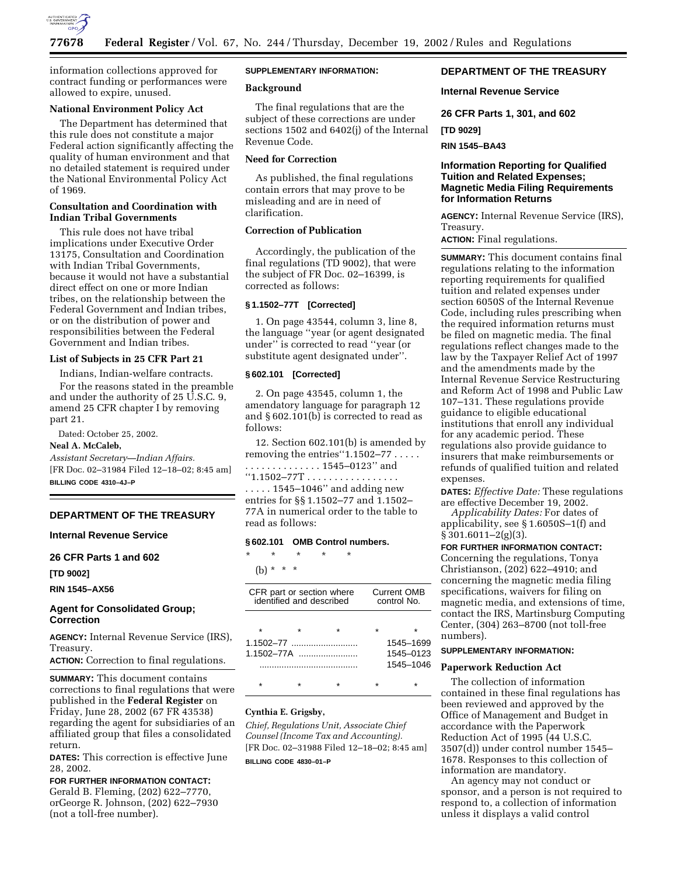

information collections approved for contract funding or performances were allowed to expire, unused.

## **National Environment Policy Act**

The Department has determined that this rule does not constitute a major Federal action significantly affecting the quality of human environment and that no detailed statement is required under the National Environmental Policy Act of 1969.

## **Consultation and Coordination with Indian Tribal Governments**

This rule does not have tribal implications under Executive Order 13175, Consultation and Coordination with Indian Tribal Governments, because it would not have a substantial direct effect on one or more Indian tribes, on the relationship between the Federal Government and Indian tribes, or on the distribution of power and responsibilities between the Federal Government and Indian tribes.

## **List of Subjects in 25 CFR Part 21**

Indians, Indian-welfare contracts.

For the reasons stated in the preamble and under the authority of 25 U.S.C. 9, amend 25 CFR chapter I by removing part 21.

Dated: October 25, 2002.

#### **Neal A. McCaleb,**

*Assistant Secretary—Indian Affairs.* [FR Doc. 02–31984 Filed 12–18–02; 8:45 am] **BILLING CODE 4310–4J–P**

## **DEPARTMENT OF THE TREASURY**

## **Internal Revenue Service**

#### **26 CFR Parts 1 and 602**

**[TD 9002]** 

**RIN 1545–AX56**

## **Agent for Consolidated Group; Correction**

**AGENCY:** Internal Revenue Service (IRS), Treasury.

**ACTION:** Correction to final regulations.

**SUMMARY:** This document contains corrections to final regulations that were published in the **Federal Register** on Friday, June 28, 2002 (67 FR 43538) regarding the agent for subsidiaries of an affiliated group that files a consolidated return.

**DATES:** This correction is effective June 28, 2002.

# **FOR FURTHER INFORMATION CONTACT:**

Gerald B. Fleming, (202) 622–7770, orGeorge R. Johnson, (202) 622–7930 (not a toll-free number).

## **SUPPLEMENTARY INFORMATION:**

#### **Background**

The final regulations that are the subject of these corrections are under sections 1502 and 6402(j) of the Internal Revenue Code.

## **Need for Correction**

As published, the final regulations contain errors that may prove to be misleading and are in need of clarification.

## **Correction of Publication**

Accordingly, the publication of the final regulations (TD 9002), that were the subject of FR Doc. 02–16399, is corrected as follows:

### **§ 1.1502–77T [Corrected]**

1. On page 43544, column 3, line 8, the language ''year (or agent designated under'' is corrected to read ''year (or substitute agent designated under''.

## **§ 602.101 [Corrected]**

2. On page 43545, column 1, the amendatory language for paragraph 12 and § 602.101(b) is corrected to read as follows:

12. Section 602.101(b) is amended by removing the entries "1.1502–77 . . . . . . . . . . . . . . . . . . . 1545–0123'' and  $"1.1502 - 77T \ldots \ldots \ldots \ldots \ldots$ . . . . . 1545–1046'' and adding new entries for §§ 1.1502–77 and 1.1502– 77A in numerical order to the table to read as follows:

#### **§ 602.101 OMB Control numbers.**

| $^\star$ | $\star$   | $\star$ | $\star$ | * |
|----------|-----------|---------|---------|---|
|          | (b) * * * |         |         |   |

| CFR part or section where<br>identified and described |   |                | <b>Current OMB</b><br>control No. |           |
|-------------------------------------------------------|---|----------------|-----------------------------------|-----------|
| $\star$                                               | ÷ | $\star$        |                                   | ÷         |
|                                                       |   |                |                                   | 1545-1699 |
|                                                       |   | $1.1502 - 77A$ |                                   | 1545-0123 |
|                                                       |   |                |                                   | 1545-1046 |
|                                                       |   |                |                                   |           |

## **Cynthia E. Grigsby,**

*Chief, Regulations Unit, Associate Chief Counsel (Income Tax and Accounting).* [FR Doc. 02–31988 Filed 12–18–02; 8:45 am] **BILLING CODE 4830–01–P**

## **DEPARTMENT OF THE TREASURY**

**Internal Revenue Service** 

**26 CFR Parts 1, 301, and 602** 

**[TD 9029]** 

**RIN 1545–BA43** 

## **Information Reporting for Qualified Tuition and Related Expenses; Magnetic Media Filing Requirements for Information Returns**

**AGENCY:** Internal Revenue Service (IRS), Treasury.

**ACTION:** Final regulations.

**SUMMARY:** This document contains final regulations relating to the information reporting requirements for qualified tuition and related expenses under section 6050S of the Internal Revenue Code, including rules prescribing when the required information returns must be filed on magnetic media. The final regulations reflect changes made to the law by the Taxpayer Relief Act of 1997 and the amendments made by the Internal Revenue Service Restructuring and Reform Act of 1998 and Public Law 107–131. These regulations provide guidance to eligible educational institutions that enroll any individual for any academic period. These regulations also provide guidance to insurers that make reimbursements or refunds of qualified tuition and related expenses.

**DATES:** *Effective Date:* These regulations are effective December 19, 2002.

*Applicability Dates:* For dates of applicability, see § 1.6050S–1(f) and  $§ 301.6011 - 2(g)(3).$ 

**FOR FURTHER INFORMATION CONTACT:** Concerning the regulations, Tonya Christianson, (202) 622–4910; and concerning the magnetic media filing specifications, waivers for filing on magnetic media, and extensions of time, contact the IRS, Martinsburg Computing Center, (304) 263–8700 (not toll-free numbers).

### **SUPPLEMENTARY INFORMATION:**

#### **Paperwork Reduction Act**

The collection of information contained in these final regulations has been reviewed and approved by the Office of Management and Budget in accordance with the Paperwork Reduction Act of 1995 (44 U.S.C. 3507(d)) under control number 1545– 1678. Responses to this collection of information are mandatory.

An agency may not conduct or sponsor, and a person is not required to respond to, a collection of information unless it displays a valid control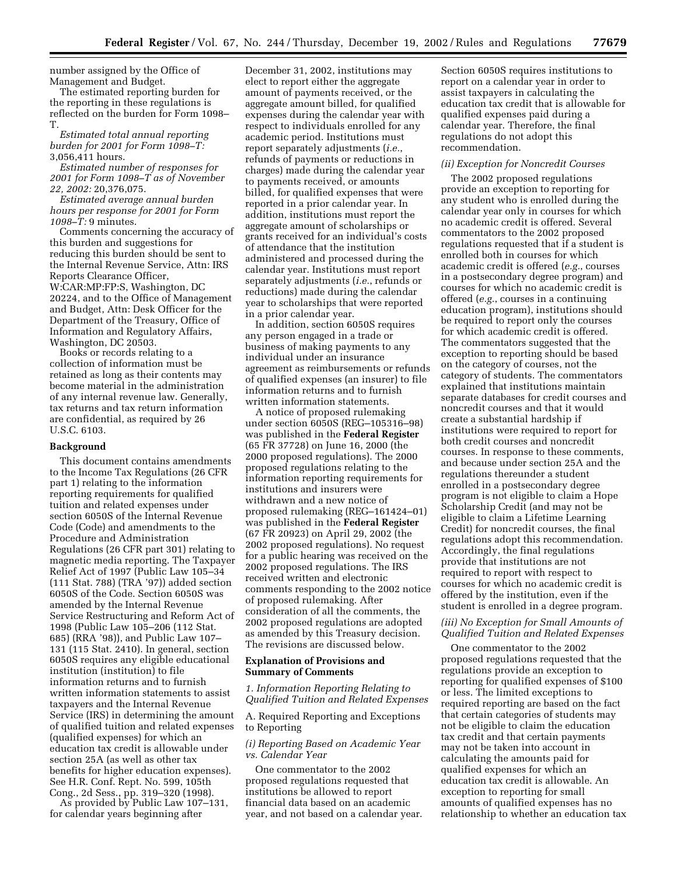number assigned by the Office of Management and Budget.

The estimated reporting burden for the reporting in these regulations is reflected on the burden for Form 1098– T.

*Estimated total annual reporting burden for 2001 for Form 1098–T:* 3,056,411 hours.

*Estimated number of responses for 2001 for Form 1098–T as of November 22, 2002:* 20,376,075.

*Estimated average annual burden hours per response for 2001 for Form 1098–T:* 9 minutes.

Comments concerning the accuracy of this burden and suggestions for reducing this burden should be sent to the Internal Revenue Service, Attn: IRS Reports Clearance Officer, W:CAR:MP:FP:S, Washington, DC 20224, and to the Office of Management and Budget, Attn: Desk Officer for the Department of the Treasury, Office of Information and Regulatory Affairs, Washington, DC 20503.

Books or records relating to a collection of information must be retained as long as their contents may become material in the administration of any internal revenue law. Generally, tax returns and tax return information are confidential, as required by 26 U.S.C. 6103.

#### **Background**

This document contains amendments to the Income Tax Regulations (26 CFR part 1) relating to the information reporting requirements for qualified tuition and related expenses under section 6050S of the Internal Revenue Code (Code) and amendments to the Procedure and Administration Regulations (26 CFR part 301) relating to magnetic media reporting. The Taxpayer Relief Act of 1997 (Public Law 105–34 (111 Stat. 788) (TRA '97)) added section 6050S of the Code. Section 6050S was amended by the Internal Revenue Service Restructuring and Reform Act of 1998 (Public Law 105–206 (112 Stat. 685) (RRA '98)), and Public Law 107– 131 (115 Stat. 2410). In general, section 6050S requires any eligible educational institution (institution) to file information returns and to furnish written information statements to assist taxpayers and the Internal Revenue Service (IRS) in determining the amount of qualified tuition and related expenses (qualified expenses) for which an education tax credit is allowable under section 25A (as well as other tax benefits for higher education expenses). See H.R. Conf. Rept. No. 599, 105th Cong., 2d Sess., pp. 319–320 (1998). As provided by Public Law 107–131,

for calendar years beginning after

December 31, 2002, institutions may elect to report either the aggregate amount of payments received, or the aggregate amount billed, for qualified expenses during the calendar year with respect to individuals enrolled for any academic period. Institutions must report separately adjustments (*i.e.*, refunds of payments or reductions in charges) made during the calendar year to payments received, or amounts billed, for qualified expenses that were reported in a prior calendar year. In addition, institutions must report the aggregate amount of scholarships or grants received for an individual's costs of attendance that the institution administered and processed during the calendar year. Institutions must report separately adjustments (*i.e.*, refunds or reductions) made during the calendar year to scholarships that were reported in a prior calendar year.

In addition, section 6050S requires any person engaged in a trade or business of making payments to any individual under an insurance agreement as reimbursements or refunds of qualified expenses (an insurer) to file information returns and to furnish written information statements.

A notice of proposed rulemaking under section 6050S (REG–105316–98) was published in the **Federal Register** (65 FR 37728) on June 16, 2000 (the 2000 proposed regulations). The 2000 proposed regulations relating to the information reporting requirements for institutions and insurers were withdrawn and a new notice of proposed rulemaking (REG–161424–01) was published in the **Federal Register** (67 FR 20923) on April 29, 2002 (the 2002 proposed regulations). No request for a public hearing was received on the 2002 proposed regulations. The IRS received written and electronic comments responding to the 2002 notice of proposed rulemaking. After consideration of all the comments, the 2002 proposed regulations are adopted as amended by this Treasury decision. The revisions are discussed below.

### **Explanation of Provisions and Summary of Comments**

## *1. Information Reporting Relating to Qualified Tuition and Related Expenses*

A. Required Reporting and Exceptions to Reporting

*(i) Reporting Based on Academic Year vs. Calendar Year* 

One commentator to the 2002 proposed regulations requested that institutions be allowed to report financial data based on an academic year, and not based on a calendar year. Section 6050S requires institutions to report on a calendar year in order to assist taxpayers in calculating the education tax credit that is allowable for qualified expenses paid during a calendar year. Therefore, the final regulations do not adopt this recommendation.

## *(ii) Exception for Noncredit Courses*

The 2002 proposed regulations provide an exception to reporting for any student who is enrolled during the calendar year only in courses for which no academic credit is offered. Several commentators to the 2002 proposed regulations requested that if a student is enrolled both in courses for which academic credit is offered (*e.g.*, courses in a postsecondary degree program) and courses for which no academic credit is offered (*e.g.*, courses in a continuing education program), institutions should be required to report only the courses for which academic credit is offered. The commentators suggested that the exception to reporting should be based on the category of courses, not the category of students. The commentators explained that institutions maintain separate databases for credit courses and noncredit courses and that it would create a substantial hardship if institutions were required to report for both credit courses and noncredit courses. In response to these comments, and because under section 25A and the regulations thereunder a student enrolled in a postsecondary degree program is not eligible to claim a Hope Scholarship Credit (and may not be eligible to claim a Lifetime Learning Credit) for noncredit courses, the final regulations adopt this recommendation. Accordingly, the final regulations provide that institutions are not required to report with respect to courses for which no academic credit is offered by the institution, even if the student is enrolled in a degree program.

## *(iii) No Exception for Small Amounts of Qualified Tuition and Related Expenses*

One commentator to the 2002 proposed regulations requested that the regulations provide an exception to reporting for qualified expenses of \$100 or less. The limited exceptions to required reporting are based on the fact that certain categories of students may not be eligible to claim the education tax credit and that certain payments may not be taken into account in calculating the amounts paid for qualified expenses for which an education tax credit is allowable. An exception to reporting for small amounts of qualified expenses has no relationship to whether an education tax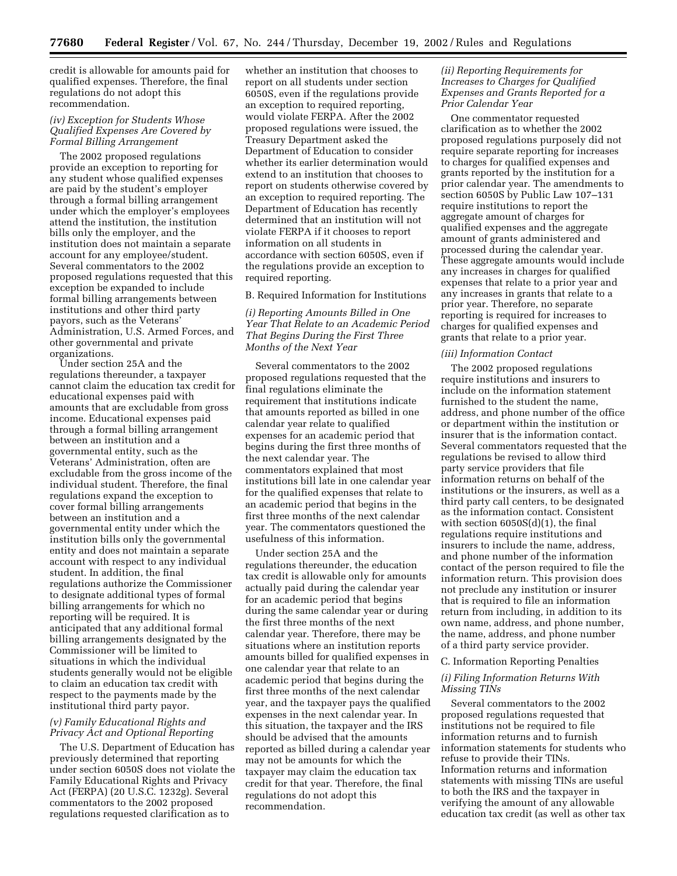credit is allowable for amounts paid for qualified expenses. Therefore, the final regulations do not adopt this recommendation.

## *(iv) Exception for Students Whose Qualified Expenses Are Covered by Formal Billing Arrangement*

The 2002 proposed regulations provide an exception to reporting for any student whose qualified expenses are paid by the student's employer through a formal billing arrangement under which the employer's employees attend the institution, the institution bills only the employer, and the institution does not maintain a separate account for any employee/student. Several commentators to the 2002 proposed regulations requested that this exception be expanded to include formal billing arrangements between institutions and other third party payors, such as the Veterans' Administration, U.S. Armed Forces, and other governmental and private organizations.

Under section 25A and the regulations thereunder, a taxpayer cannot claim the education tax credit for educational expenses paid with amounts that are excludable from gross income. Educational expenses paid through a formal billing arrangement between an institution and a governmental entity, such as the Veterans' Administration, often are excludable from the gross income of the individual student. Therefore, the final regulations expand the exception to cover formal billing arrangements between an institution and a governmental entity under which the institution bills only the governmental entity and does not maintain a separate account with respect to any individual student. In addition, the final regulations authorize the Commissioner to designate additional types of formal billing arrangements for which no reporting will be required. It is anticipated that any additional formal billing arrangements designated by the Commissioner will be limited to situations in which the individual students generally would not be eligible to claim an education tax credit with respect to the payments made by the institutional third party payor.

## *(v) Family Educational Rights and Privacy Act and Optional Reporting*

The U.S. Department of Education has previously determined that reporting under section 6050S does not violate the Family Educational Rights and Privacy Act (FERPA) (20 U.S.C. 1232g). Several commentators to the 2002 proposed regulations requested clarification as to

whether an institution that chooses to report on all students under section 6050S, even if the regulations provide an exception to required reporting, would violate FERPA. After the 2002 proposed regulations were issued, the Treasury Department asked the Department of Education to consider whether its earlier determination would extend to an institution that chooses to report on students otherwise covered by an exception to required reporting. The Department of Education has recently determined that an institution will not violate FERPA if it chooses to report information on all students in accordance with section 6050S, even if the regulations provide an exception to required reporting.

### B. Required Information for Institutions

*(i) Reporting Amounts Billed in One Year That Relate to an Academic Period That Begins During the First Three Months of the Next Year* 

Several commentators to the 2002 proposed regulations requested that the final regulations eliminate the requirement that institutions indicate that amounts reported as billed in one calendar year relate to qualified expenses for an academic period that begins during the first three months of the next calendar year. The commentators explained that most institutions bill late in one calendar year for the qualified expenses that relate to an academic period that begins in the first three months of the next calendar year. The commentators questioned the usefulness of this information.

Under section 25A and the regulations thereunder, the education tax credit is allowable only for amounts actually paid during the calendar year for an academic period that begins during the same calendar year or during the first three months of the next calendar year. Therefore, there may be situations where an institution reports amounts billed for qualified expenses in one calendar year that relate to an academic period that begins during the first three months of the next calendar year, and the taxpayer pays the qualified expenses in the next calendar year. In this situation, the taxpayer and the IRS should be advised that the amounts reported as billed during a calendar year may not be amounts for which the taxpayer may claim the education tax credit for that year. Therefore, the final regulations do not adopt this recommendation.

## *(ii) Reporting Requirements for Increases to Charges for Qualified Expenses and Grants Reported for a Prior Calendar Year*

One commentator requested clarification as to whether the 2002 proposed regulations purposely did not require separate reporting for increases to charges for qualified expenses and grants reported by the institution for a prior calendar year. The amendments to section 6050S by Public Law 107–131 require institutions to report the aggregate amount of charges for qualified expenses and the aggregate amount of grants administered and processed during the calendar year. These aggregate amounts would include any increases in charges for qualified expenses that relate to a prior year and any increases in grants that relate to a prior year. Therefore, no separate reporting is required for increases to charges for qualified expenses and grants that relate to a prior year.

#### *(iii) Information Contact*

The 2002 proposed regulations require institutions and insurers to include on the information statement furnished to the student the name, address, and phone number of the office or department within the institution or insurer that is the information contact. Several commentators requested that the regulations be revised to allow third party service providers that file information returns on behalf of the institutions or the insurers, as well as a third party call centers, to be designated as the information contact. Consistent with section 6050S(d)(1), the final regulations require institutions and insurers to include the name, address, and phone number of the information contact of the person required to file the information return. This provision does not preclude any institution or insurer that is required to file an information return from including, in addition to its own name, address, and phone number, the name, address, and phone number of a third party service provider.

#### C. Information Reporting Penalties

### *(i) Filing Information Returns With Missing TINs*

Several commentators to the 2002 proposed regulations requested that institutions not be required to file information returns and to furnish information statements for students who refuse to provide their TINs. Information returns and information statements with missing TINs are useful to both the IRS and the taxpayer in verifying the amount of any allowable education tax credit (as well as other tax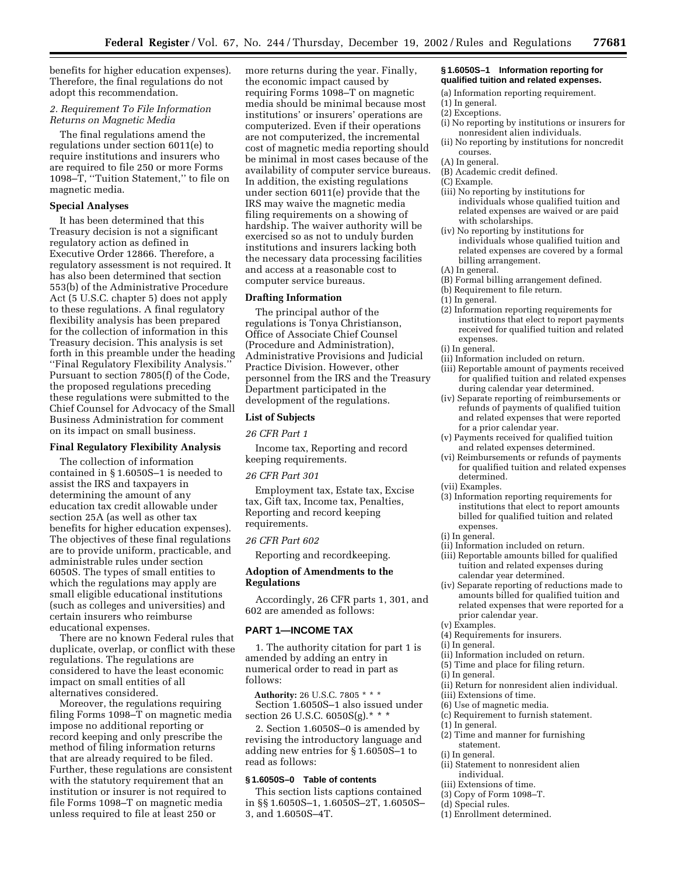benefits for higher education expenses). Therefore, the final regulations do not adopt this recommendation.

## *2. Requirement To File Information Returns on Magnetic Media*

The final regulations amend the regulations under section 6011(e) to require institutions and insurers who are required to file 250 or more Forms 1098–T, ''Tuition Statement,'' to file on magnetic media.

## **Special Analyses**

It has been determined that this Treasury decision is not a significant regulatory action as defined in Executive Order 12866. Therefore, a regulatory assessment is not required. It has also been determined that section 553(b) of the Administrative Procedure Act (5 U.S.C. chapter 5) does not apply to these regulations. A final regulatory flexibility analysis has been prepared for the collection of information in this Treasury decision. This analysis is set forth in this preamble under the heading ''Final Regulatory Flexibility Analysis.'' Pursuant to section 7805(f) of the Code, the proposed regulations preceding these regulations were submitted to the Chief Counsel for Advocacy of the Small Business Administration for comment on its impact on small business.

#### **Final Regulatory Flexibility Analysis**

The collection of information contained in § 1.6050S–1 is needed to assist the IRS and taxpayers in determining the amount of any education tax credit allowable under section 25A (as well as other tax benefits for higher education expenses). The objectives of these final regulations are to provide uniform, practicable, and administrable rules under section 6050S. The types of small entities to which the regulations may apply are small eligible educational institutions (such as colleges and universities) and certain insurers who reimburse educational expenses.

There are no known Federal rules that duplicate, overlap, or conflict with these regulations. The regulations are considered to have the least economic impact on small entities of all alternatives considered.

Moreover, the regulations requiring filing Forms 1098–T on magnetic media impose no additional reporting or record keeping and only prescribe the method of filing information returns that are already required to be filed. Further, these regulations are consistent with the statutory requirement that an institution or insurer is not required to file Forms 1098–T on magnetic media unless required to file at least 250 or

more returns during the year. Finally, the economic impact caused by requiring Forms 1098–T on magnetic media should be minimal because most institutions' or insurers' operations are computerized. Even if their operations are not computerized, the incremental cost of magnetic media reporting should be minimal in most cases because of the availability of computer service bureaus. In addition, the existing regulations under section 6011(e) provide that the IRS may waive the magnetic media filing requirements on a showing of hardship. The waiver authority will be exercised so as not to unduly burden institutions and insurers lacking both the necessary data processing facilities and access at a reasonable cost to computer service bureaus.

## **Drafting Information**

The principal author of the regulations is Tonya Christianson, Office of Associate Chief Counsel (Procedure and Administration), Administrative Provisions and Judicial Practice Division. However, other personnel from the IRS and the Treasury Department participated in the development of the regulations.

## **List of Subjects**

#### *26 CFR Part 1*

Income tax, Reporting and record keeping requirements.

#### *26 CFR Part 301*

Employment tax, Estate tax, Excise tax, Gift tax, Income tax, Penalties, Reporting and record keeping requirements.

#### *26 CFR Part 602*

Reporting and recordkeeping.

## **Adoption of Amendments to the Regulations**

Accordingly, 26 CFR parts 1, 301, and 602 are amended as follows:

#### **PART 1—INCOME TAX**

1. The authority citation for part 1 is amended by adding an entry in numerical order to read in part as follows:

**Authority:** 26 U.S.C. 7805 \* \* \* Section 1.6050S–1 also issued under section 26 U.S.C. 6050S(g).\* \* \*

2. Section 1.6050S–0 is amended by revising the introductory language and adding new entries for § 1.6050S–1 to read as follows:

## **§ 1.6050S–0 Table of contents**

This section lists captions contained in §§ 1.6050S–1, 1.6050S–2T, 1.6050S– 3, and 1.6050S–4T.

#### **§ 1.6050S–1 Information reporting for qualified tuition and related expenses.**

- (a) Information reporting requirement.
- (1) In general.
- (2) Exceptions.
- (i) No reporting by institutions or insurers for nonresident alien individuals.
- (ii) No reporting by institutions for noncredit courses.
- (A) In general.
- (B) Academic credit defined.
- (C) Example.
- (iii) No reporting by institutions for individuals whose qualified tuition and related expenses are waived or are paid with scholarships.
- (iv) No reporting by institutions for individuals whose qualified tuition and related expenses are covered by a formal billing arrangement.
- (A) In general.
- (B) Formal billing arrangement defined.
- (b) Requirement to file return.
- (1) In general.
- (2) Information reporting requirements for institutions that elect to report payments received for qualified tuition and related expenses.
- (i) In general.
- (ii) Information included on return.
- (iii) Reportable amount of payments received for qualified tuition and related expenses during calendar year determined.
- (iv) Separate reporting of reimbursements or refunds of payments of qualified tuition and related expenses that were reported for a prior calendar year.
- (v) Payments received for qualified tuition and related expenses determined.
- (vi) Reimbursements or refunds of payments for qualified tuition and related expenses determined.
- (vii) Examples.
- (3) Information reporting requirements for institutions that elect to report amounts billed for qualified tuition and related expenses.
- (i) In general.
- (ii) Information included on return.
- (iii) Reportable amounts billed for qualified tuition and related expenses during calendar year determined.
- (iv) Separate reporting of reductions made to amounts billed for qualified tuition and related expenses that were reported for a prior calendar year.
- (v) Examples.
- (4) Requirements for insurers.
- (i) In general.
- (ii) Information included on return.
- (5) Time and place for filing return.
- (i) In general.
- (ii) Return for nonresident alien individual.
- (iii) Extensions of time.
- (6) Use of magnetic media.
- (c) Requirement to furnish statement.
- (1) In general.
- (2) Time and manner for furnishing statement.
- (i) In general.
- (ii) Statement to nonresident alien individual.
- (iii) Extensions of time.
- (3) Copy of Form 1098–T.
- (d) Special rules.
- (1) Enrollment determined.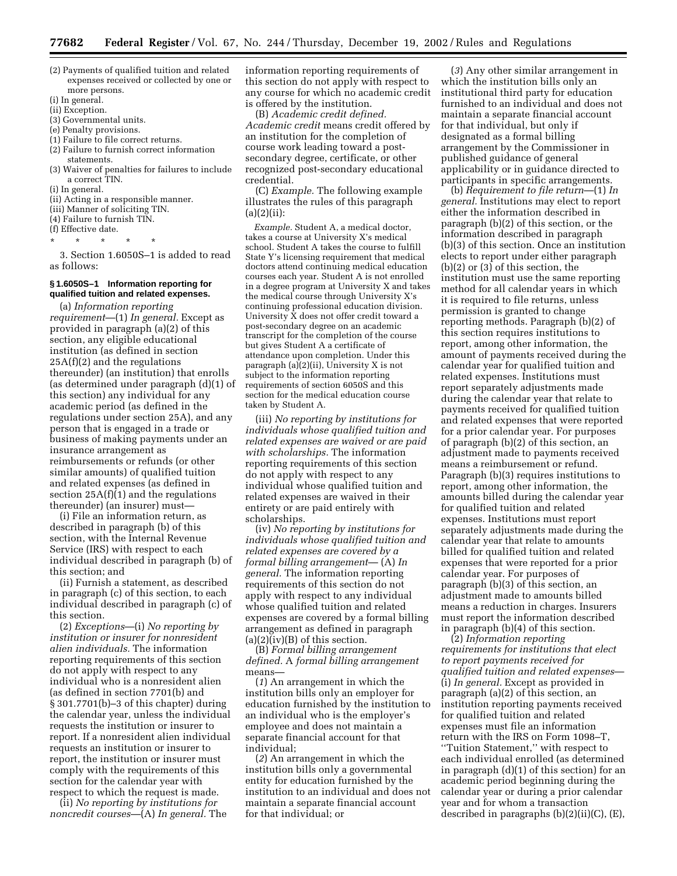- (2) Payments of qualified tuition and related expenses received or collected by one or more persons.
- (i) In general.
- (ii) Exception.
- (3) Governmental units.
- (e) Penalty provisions.
- (1) Failure to file correct returns.
- (2) Failure to furnish correct information statements.
- (3) Waiver of penalties for failures to include a correct TIN.
- (i) In general.
- (ii) Acting in a responsible manner.
- (iii) Manner of soliciting TIN.

(4) Failure to furnish TIN.

(f) Effective date.

\* \* \* \* \*

3. Section 1.6050S–1 is added to read as follows:

### **§ 1.6050S–1 Information reporting for qualified tuition and related expenses.**

(a) *Information reporting requirement*—(1) *In general.* Except as provided in paragraph (a)(2) of this section, any eligible educational institution (as defined in section 25A(f)(2) and the regulations thereunder) (an institution) that enrolls (as determined under paragraph (d)(1) of this section) any individual for any academic period (as defined in the regulations under section 25A), and any person that is engaged in a trade or business of making payments under an insurance arrangement as reimbursements or refunds (or other similar amounts) of qualified tuition and related expenses (as defined in section  $25A(f)(1)$  and the regulations thereunder) (an insurer) must—

(i) File an information return, as described in paragraph (b) of this section, with the Internal Revenue Service (IRS) with respect to each individual described in paragraph (b) of this section; and

(ii) Furnish a statement, as described in paragraph (c) of this section, to each individual described in paragraph (c) of this section.

(2) *Exceptions*—(i) *No reporting by institution or insurer for nonresident alien individuals.* The information reporting requirements of this section do not apply with respect to any individual who is a nonresident alien (as defined in section 7701(b) and § 301.7701(b)–3 of this chapter) during the calendar year, unless the individual requests the institution or insurer to report. If a nonresident alien individual requests an institution or insurer to report, the institution or insurer must comply with the requirements of this section for the calendar year with respect to which the request is made.

(ii) *No reporting by institutions for noncredit courses*—(A) *In general.* The information reporting requirements of this section do not apply with respect to any course for which no academic credit is offered by the institution.

(B) *Academic credit defined. Academic credit* means credit offered by an institution for the completion of course work leading toward a postsecondary degree, certificate, or other recognized post-secondary educational credential.

(C) *Example.* The following example illustrates the rules of this paragraph  $(a)(2)(ii)$ :

*Example.* Student A, a medical doctor, takes a course at University X's medical school. Student A takes the course to fulfill State Y's licensing requirement that medical doctors attend continuing medical education courses each year. Student A is not enrolled in a degree program at University X and takes the medical course through University X's continuing professional education division. University X does not offer credit toward a post-secondary degree on an academic transcript for the completion of the course but gives Student A a certificate of attendance upon completion. Under this paragraph (a) $(2)$ (ii), University X is not subject to the information reporting requirements of section 6050S and this section for the medical education course taken by Student A.

(iii) *No reporting by institutions for individuals whose qualified tuition and related expenses are waived or are paid with scholarships.* The information reporting requirements of this section do not apply with respect to any individual whose qualified tuition and related expenses are waived in their entirety or are paid entirely with scholarships.

(iv) *No reporting by institutions for individuals whose qualified tuition and related expenses are covered by a formal billing arrangement*— (A) *In general.* The information reporting requirements of this section do not apply with respect to any individual whose qualified tuition and related expenses are covered by a formal billing arrangement as defined in paragraph  $(a)(2)(iv)(B)$  of this section.

(B) *Formal billing arrangement defined.* A *formal billing arrangement* means—

(*1*) An arrangement in which the institution bills only an employer for education furnished by the institution to an individual who is the employer's employee and does not maintain a separate financial account for that individual;

(*2*) An arrangement in which the institution bills only a governmental entity for education furnished by the institution to an individual and does not maintain a separate financial account for that individual; or

(*3*) Any other similar arrangement in which the institution bills only an institutional third party for education furnished to an individual and does not maintain a separate financial account for that individual, but only if designated as a formal billing arrangement by the Commissioner in published guidance of general applicability or in guidance directed to participants in specific arrangements.

(b) *Requirement to file return*—(1) *In general.* Institutions may elect to report either the information described in paragraph (b)(2) of this section, or the information described in paragraph (b)(3) of this section. Once an institution elects to report under either paragraph (b)(2) or (3) of this section, the institution must use the same reporting method for all calendar years in which it is required to file returns, unless permission is granted to change reporting methods. Paragraph (b)(2) of this section requires institutions to report, among other information, the amount of payments received during the calendar year for qualified tuition and related expenses. Institutions must report separately adjustments made during the calendar year that relate to payments received for qualified tuition and related expenses that were reported for a prior calendar year. For purposes of paragraph (b)(2) of this section, an adjustment made to payments received means a reimbursement or refund. Paragraph (b)(3) requires institutions to report, among other information, the amounts billed during the calendar year for qualified tuition and related expenses. Institutions must report separately adjustments made during the calendar year that relate to amounts billed for qualified tuition and related expenses that were reported for a prior calendar year. For purposes of paragraph (b)(3) of this section, an adjustment made to amounts billed means a reduction in charges. Insurers must report the information described in paragraph (b)(4) of this section.

(2) *Information reporting requirements for institutions that elect to report payments received for qualified tuition and related expenses*— (i) *In general.* Except as provided in paragraph (a)(2) of this section, an institution reporting payments received for qualified tuition and related expenses must file an information return with the IRS on Form 1098–T, ''Tuition Statement,'' with respect to each individual enrolled (as determined in paragraph (d)(1) of this section) for an academic period beginning during the calendar year or during a prior calendar year and for whom a transaction described in paragraphs (b)(2)(ii)(C), (E),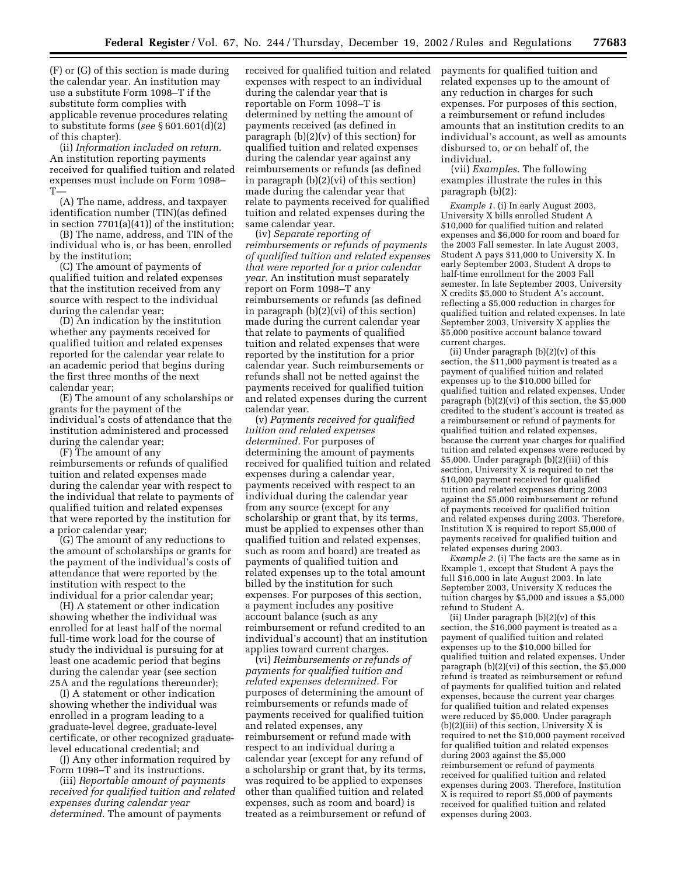(F) or (G) of this section is made during the calendar year. An institution may use a substitute Form 1098–T if the substitute form complies with applicable revenue procedures relating to substitute forms (*see* § 601.601(d)(2) of this chapter).

(ii) *Information included on return.* An institution reporting payments received for qualified tuition and related expenses must include on Form 1098–  $\mathrm{T}$ 

(A) The name, address, and taxpayer identification number (TIN)(as defined in section 7701(a)(41)) of the institution;

(B) The name, address, and TIN of the individual who is, or has been, enrolled by the institution;

(C) The amount of payments of qualified tuition and related expenses that the institution received from any source with respect to the individual during the calendar year;

(D) An indication by the institution whether any payments received for qualified tuition and related expenses reported for the calendar year relate to an academic period that begins during the first three months of the next calendar year;

(E) The amount of any scholarships or grants for the payment of the individual's costs of attendance that the institution administered and processed during the calendar year;

(F) The amount of any

reimbursements or refunds of qualified tuition and related expenses made during the calendar year with respect to the individual that relate to payments of qualified tuition and related expenses that were reported by the institution for a prior calendar year;

(G) The amount of any reductions to the amount of scholarships or grants for the payment of the individual's costs of attendance that were reported by the institution with respect to the individual for a prior calendar year;

(H) A statement or other indication showing whether the individual was enrolled for at least half of the normal full-time work load for the course of study the individual is pursuing for at least one academic period that begins during the calendar year (see section 25A and the regulations thereunder);

(I) A statement or other indication showing whether the individual was enrolled in a program leading to a graduate-level degree, graduate-level certificate, or other recognized graduatelevel educational credential; and

(J) Any other information required by Form 1098–T and its instructions.

(iii) *Reportable amount of payments received for qualified tuition and related expenses during calendar year determined.* The amount of payments

received for qualified tuition and related expenses with respect to an individual during the calendar year that is reportable on Form 1098–T is determined by netting the amount of payments received (as defined in paragraph  $(b)(2)(v)$  of this section) for qualified tuition and related expenses during the calendar year against any reimbursements or refunds (as defined in paragraph (b)(2)(vi) of this section) made during the calendar year that relate to payments received for qualified tuition and related expenses during the same calendar year.

(iv) *Separate reporting of reimbursements or refunds of payments of qualified tuition and related expenses that were reported for a prior calendar year.* An institution must separately report on Form 1098–T any reimbursements or refunds (as defined in paragraph (b)(2)(vi) of this section) made during the current calendar year that relate to payments of qualified tuition and related expenses that were reported by the institution for a prior calendar year. Such reimbursements or refunds shall not be netted against the payments received for qualified tuition and related expenses during the current calendar year.

(v) *Payments received for qualified tuition and related expenses determined.* For purposes of determining the amount of payments received for qualified tuition and related expenses during a calendar year, payments received with respect to an individual during the calendar year from any source (except for any scholarship or grant that, by its terms, must be applied to expenses other than qualified tuition and related expenses, such as room and board) are treated as payments of qualified tuition and related expenses up to the total amount billed by the institution for such expenses. For purposes of this section, a payment includes any positive account balance (such as any reimbursement or refund credited to an individual's account) that an institution applies toward current charges.

(vi) *Reimbursements or refunds of payments for qualified tuition and related expenses determined.* For purposes of determining the amount of reimbursements or refunds made of payments received for qualified tuition and related expenses, any reimbursement or refund made with respect to an individual during a calendar year (except for any refund of a scholarship or grant that, by its terms, was required to be applied to expenses other than qualified tuition and related expenses, such as room and board) is treated as a reimbursement or refund of payments for qualified tuition and related expenses up to the amount of any reduction in charges for such expenses. For purposes of this section, a reimbursement or refund includes amounts that an institution credits to an individual's account, as well as amounts disbursed to, or on behalf of, the individual.

(vii) *Examples.* The following examples illustrate the rules in this paragraph (b)(2):

*Example 1.* (i) In early August 2003, University X bills enrolled Student A \$10,000 for qualified tuition and related expenses and \$6,000 for room and board for the 2003 Fall semester. In late August 2003, Student A pays \$11,000 to University X. In early September 2003, Student A drops to half-time enrollment for the 2003 Fall semester. In late September 2003, University X credits \$5,000 to Student A's account, reflecting a \$5,000 reduction in charges for qualified tuition and related expenses. In late September 2003, University X applies the \$5,000 positive account balance toward current charges.

(ii) Under paragraph (b)(2)(v) of this section, the \$11,000 payment is treated as a payment of qualified tuition and related expenses up to the \$10,000 billed for qualified tuition and related expenses. Under paragraph (b)(2)(vi) of this section, the \$5,000 credited to the student's account is treated as a reimbursement or refund of payments for qualified tuition and related expenses, because the current year charges for qualified tuition and related expenses were reduced by \$5,000. Under paragraph (b)(2)(iii) of this section, University X is required to net the \$10,000 payment received for qualified tuition and related expenses during 2003 against the \$5,000 reimbursement or refund of payments received for qualified tuition and related expenses during 2003. Therefore, Institution X is required to report \$5,000 of payments received for qualified tuition and related expenses during 2003.

*Example 2.* (i) The facts are the same as in Example 1, except that Student A pays the full \$16,000 in late August 2003. In late September 2003, University X reduces the tuition charges by \$5,000 and issues a \$5,000 refund to Student A.

(ii) Under paragraph  $(b)(2)(v)$  of this section, the \$16,000 payment is treated as a payment of qualified tuition and related expenses up to the \$10,000 billed for qualified tuition and related expenses. Under paragraph (b)(2)(vi) of this section, the \$5,000 refund is treated as reimbursement or refund of payments for qualified tuition and related expenses, because the current year charges for qualified tuition and related expenses were reduced by \$5,000. Under paragraph (b)(2)(iii) of this section, University X is required to net the \$10,000 payment received for qualified tuition and related expenses during 2003 against the \$5,000 reimbursement or refund of payments received for qualified tuition and related expenses during 2003. Therefore, Institution X is required to report \$5,000 of payments received for qualified tuition and related expenses during 2003.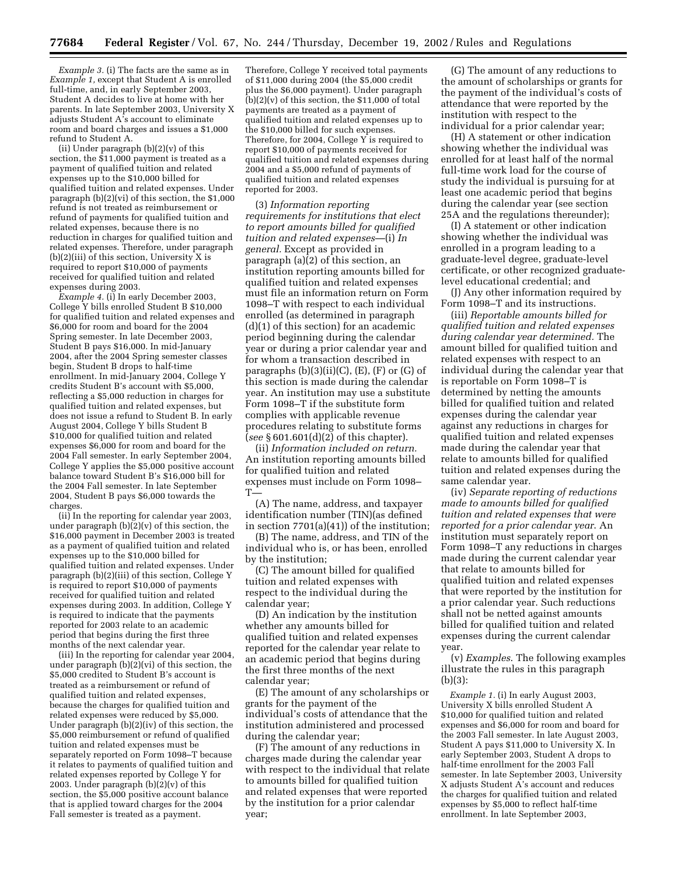*Example 3.* (i) The facts are the same as in *Example 1,* except that Student A is enrolled full-time, and, in early September 2003, Student A decides to live at home with her parents. In late September 2003, University X adjusts Student A's account to eliminate room and board charges and issues a \$1,000 refund to Student A.

(ii) Under paragraph  $(b)(2)(v)$  of this section, the \$11,000 payment is treated as a payment of qualified tuition and related expenses up to the \$10,000 billed for qualified tuition and related expenses. Under paragraph (b)(2)(vi) of this section, the \$1,000 refund is not treated as reimbursement or refund of payments for qualified tuition and related expenses, because there is no reduction in charges for qualified tuition and related expenses. Therefore, under paragraph (b)(2)(iii) of this section, University X is required to report \$10,000 of payments received for qualified tuition and related expenses during 2003.

*Example 4.* (i) In early December 2003, College Y bills enrolled Student B \$10,000 for qualified tuition and related expenses and \$6,000 for room and board for the 2004 Spring semester. In late December 2003, Student B pays \$16,000. In mid-January 2004, after the 2004 Spring semester classes begin, Student B drops to half-time enrollment. In mid-January 2004, College Y credits Student B's account with \$5,000, reflecting a \$5,000 reduction in charges for qualified tuition and related expenses, but does not issue a refund to Student B. In early August 2004, College Y bills Student B \$10,000 for qualified tuition and related expenses \$6,000 for room and board for the 2004 Fall semester. In early September 2004, College Y applies the \$5,000 positive account balance toward Student B's \$16,000 bill for the 2004 Fall semester. In late September 2004, Student B pays \$6,000 towards the charges.

(ii) In the reporting for calendar year 2003, under paragraph  $(b)(2)(v)$  of this section, the \$16,000 payment in December 2003 is treated as a payment of qualified tuition and related expenses up to the \$10,000 billed for qualified tuition and related expenses. Under paragraph (b)(2)(iii) of this section, College Y is required to report \$10,000 of payments received for qualified tuition and related expenses during 2003. In addition, College Y is required to indicate that the payments reported for 2003 relate to an academic period that begins during the first three months of the next calendar year.

(iii) In the reporting for calendar year 2004, under paragraph (b)(2)(vi) of this section, the \$5,000 credited to Student B's account is treated as a reimbursement or refund of qualified tuition and related expenses, because the charges for qualified tuition and related expenses were reduced by \$5,000. Under paragraph (b)(2)(iv) of this section, the \$5,000 reimbursement or refund of qualified tuition and related expenses must be separately reported on Form 1098–T because it relates to payments of qualified tuition and related expenses reported by College Y for 2003. Under paragraph  $(b)(2)(v)$  of this section, the \$5,000 positive account balance that is applied toward charges for the 2004 Fall semester is treated as a payment.

Therefore, College Y received total payments of \$11,000 during 2004 (the \$5,000 credit plus the \$6,000 payment). Under paragraph  $(b)(2)(v)$  of this section, the \$11,000 of total payments are treated as a payment of qualified tuition and related expenses up to the \$10,000 billed for such expenses. Therefore, for 2004, College  $\overline{Y}$  is required to report \$10,000 of payments received for qualified tuition and related expenses during 2004 and a \$5,000 refund of payments of qualified tuition and related expenses reported for 2003.

(3) *Information reporting requirements for institutions that elect to report amounts billed for qualified tuition and related expenses*—(i) *In general.* Except as provided in paragraph  $(a)(2)$  of this section, an institution reporting amounts billed for qualified tuition and related expenses must file an information return on Form 1098–T with respect to each individual enrolled (as determined in paragraph (d)(1) of this section) for an academic period beginning during the calendar year or during a prior calendar year and for whom a transaction described in paragraphs  $(b)(3)(ii)(C)$ ,  $(E)$ ,  $(F)$  or  $(G)$  of this section is made during the calendar year. An institution may use a substitute Form 1098–T if the substitute form complies with applicable revenue procedures relating to substitute forms (*see* § 601.601(d)(2) of this chapter).

(ii) *Information included on return.* An institution reporting amounts billed for qualified tuition and related expenses must include on Form 1098–  $T-$ 

(A) The name, address, and taxpayer identification number (TIN)(as defined in section 7701(a)(41)) of the institution;

(B) The name, address, and TIN of the individual who is, or has been, enrolled by the institution;

(C) The amount billed for qualified tuition and related expenses with respect to the individual during the calendar year;

(D) An indication by the institution whether any amounts billed for qualified tuition and related expenses reported for the calendar year relate to an academic period that begins during the first three months of the next calendar year;

(E) The amount of any scholarships or grants for the payment of the individual's costs of attendance that the institution administered and processed during the calendar year;

(F) The amount of any reductions in charges made during the calendar year with respect to the individual that relate to amounts billed for qualified tuition and related expenses that were reported by the institution for a prior calendar year;

(G) The amount of any reductions to the amount of scholarships or grants for the payment of the individual's costs of attendance that were reported by the institution with respect to the individual for a prior calendar year;

(H) A statement or other indication showing whether the individual was enrolled for at least half of the normal full-time work load for the course of study the individual is pursuing for at least one academic period that begins during the calendar year (see section 25A and the regulations thereunder);

(I) A statement or other indication showing whether the individual was enrolled in a program leading to a graduate-level degree, graduate-level certificate, or other recognized graduatelevel educational credential; and

(J) Any other information required by Form 1098–T and its instructions.

(iii) *Reportable amounts billed for qualified tuition and related expenses during calendar year determined.* The amount billed for qualified tuition and related expenses with respect to an individual during the calendar year that is reportable on Form 1098–T is determined by netting the amounts billed for qualified tuition and related expenses during the calendar year against any reductions in charges for qualified tuition and related expenses made during the calendar year that relate to amounts billed for qualified tuition and related expenses during the same calendar year.

(iv) *Separate reporting of reductions made to amounts billed for qualified tuition and related expenses that were reported for a prior calendar year*. An institution must separately report on Form 1098–T any reductions in charges made during the current calendar year that relate to amounts billed for qualified tuition and related expenses that were reported by the institution for a prior calendar year. Such reductions shall not be netted against amounts billed for qualified tuition and related expenses during the current calendar year.

(v) *Examples*. The following examples illustrate the rules in this paragraph (b)(3):

*Example 1.* (i) In early August 2003, University X bills enrolled Student A \$10,000 for qualified tuition and related expenses and \$6,000 for room and board for the 2003 Fall semester. In late August 2003, Student A pays \$11,000 to University X. In early September 2003, Student A drops to half-time enrollment for the 2003 Fall semester. In late September 2003, University X adjusts Student A's account and reduces the charges for qualified tuition and related expenses by \$5,000 to reflect half-time enrollment. In late September 2003,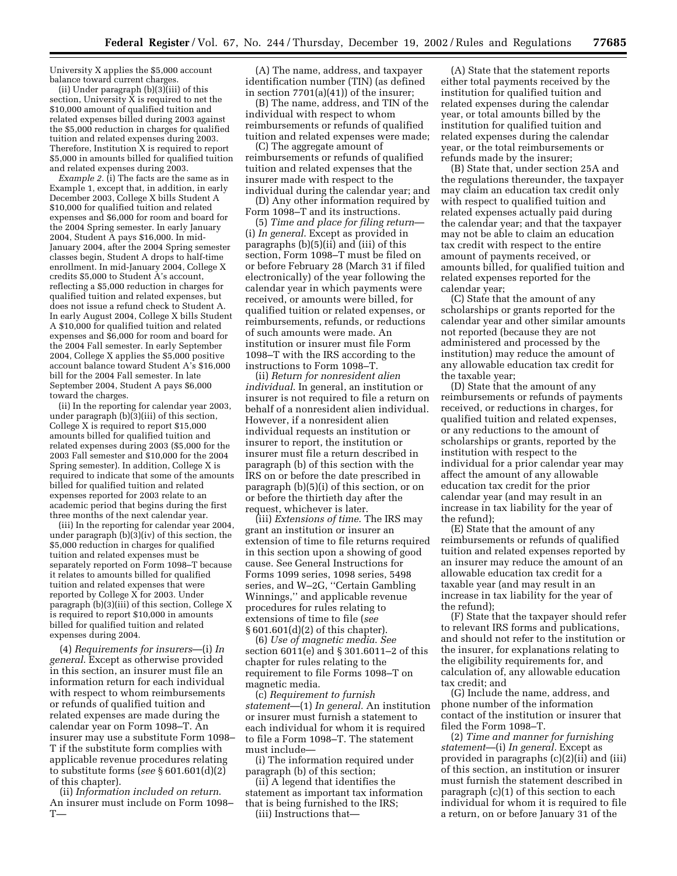University X applies the \$5,000 account balance toward current charges.

(ii) Under paragraph  $(b)(3)$ (iii) of this section, University  $\bar{X}$  is required to net the \$10,000 amount of qualified tuition and related expenses billed during 2003 against the \$5,000 reduction in charges for qualified tuition and related expenses during 2003. Therefore, Institution X is required to report \$5,000 in amounts billed for qualified tuition and related expenses during 2003.

*Example 2.* (i) The facts are the same as in Example 1, except that, in addition, in early December 2003, College X bills Student A \$10,000 for qualified tuition and related expenses and \$6,000 for room and board for the 2004 Spring semester. In early January 2004, Student A pays \$16,000. In mid-January 2004, after the 2004 Spring semester classes begin, Student A drops to half-time enrollment. In mid-January 2004, College X credits \$5,000 to Student A's account, reflecting a \$5,000 reduction in charges for qualified tuition and related expenses, but does not issue a refund check to Student A. In early August 2004, College X bills Student A \$10,000 for qualified tuition and related expenses and \$6,000 for room and board for the 2004 Fall semester. In early September 2004, College X applies the \$5,000 positive account balance toward Student A's \$16,000 bill for the 2004 Fall semester. In late September 2004, Student A pays \$6,000 toward the charges.

(ii) In the reporting for calendar year 2003, under paragraph (b)(3)(iii) of this section, College X is required to report \$15,000 amounts billed for qualified tuition and related expenses during 2003 (\$5,000 for the 2003 Fall semester and \$10,000 for the 2004 Spring semester). In addition, College X is required to indicate that some of the amounts billed for qualified tuition and related expenses reported for 2003 relate to an academic period that begins during the first three months of the next calendar year.

(iii) In the reporting for calendar year 2004, under paragraph (b)(3)(iv) of this section, the \$5,000 reduction in charges for qualified tuition and related expenses must be separately reported on Form 1098–T because it relates to amounts billed for qualified tuition and related expenses that were reported by College  $\overline{X}$  for 2003. Under paragraph (b)(3)(iii) of this section, College X is required to report \$10,000 in amounts billed for qualified tuition and related expenses during 2004.

(4) *Requirements for insurers*—(i) *In general*. Except as otherwise provided in this section, an insurer must file an information return for each individual with respect to whom reimbursements or refunds of qualified tuition and related expenses are made during the calendar year on Form 1098–T. An insurer may use a substitute Form 1098– T if the substitute form complies with applicable revenue procedures relating to substitute forms (*see* § 601.601(d)(2) of this chapter).

(ii) *Information included on return*. An insurer must include on Form 1098–  $T-$ 

(A) The name, address, and taxpayer identification number (TIN) (as defined in section  $7701(a)(41)$  of the insurer;

(B) The name, address, and TIN of the individual with respect to whom reimbursements or refunds of qualified tuition and related expenses were made;

(C) The aggregate amount of reimbursements or refunds of qualified tuition and related expenses that the insurer made with respect to the individual during the calendar year; and

(D) Any other information required by Form 1098–T and its instructions.

(5) *Time and place for filing return*— (i) *In general*. Except as provided in paragraphs (b)(5)(ii) and (iii) of this section, Form 1098–T must be filed on or before February 28 (March 31 if filed electronically) of the year following the calendar year in which payments were received, or amounts were billed, for qualified tuition or related expenses, or reimbursements, refunds, or reductions of such amounts were made. An institution or insurer must file Form 1098–T with the IRS according to the instructions to Form 1098–T.

(ii) *Return for nonresident alien individual*. In general, an institution or insurer is not required to file a return on behalf of a nonresident alien individual. However, if a nonresident alien individual requests an institution or insurer to report, the institution or insurer must file a return described in paragraph (b) of this section with the IRS on or before the date prescribed in paragraph (b)(5)(i) of this section, or on or before the thirtieth day after the request, whichever is later.

(iii) *Extensions of time*. The IRS may grant an institution or insurer an extension of time to file returns required in this section upon a showing of good cause. See General Instructions for Forms 1099 series, 1098 series, 5498 series, and W–2G, ''Certain Gambling Winnings,'' and applicable revenue procedures for rules relating to extensions of time to file (*see* § 601.601(d)(2) of this chapter).

(6) *Use of magnetic media*. *See* section 6011(e) and § 301.6011–2 of this chapter for rules relating to the requirement to file Forms 1098–T on magnetic media.

(c) *Requirement to furnish statement*—(1) *In general.* An institution or insurer must furnish a statement to each individual for whom it is required to file a Form 1098–T. The statement must include—

(i) The information required under paragraph (b) of this section;

(ii) A legend that identifies the statement as important tax information that is being furnished to the IRS; (iii) Instructions that—

(A) State that the statement reports either total payments received by the institution for qualified tuition and related expenses during the calendar year, or total amounts billed by the institution for qualified tuition and related expenses during the calendar year, or the total reimbursements or refunds made by the insurer;

(B) State that, under section 25A and the regulations thereunder, the taxpayer may claim an education tax credit only with respect to qualified tuition and related expenses actually paid during the calendar year; and that the taxpayer may not be able to claim an education tax credit with respect to the entire amount of payments received, or amounts billed, for qualified tuition and related expenses reported for the calendar year;

(C) State that the amount of any scholarships or grants reported for the calendar year and other similar amounts not reported (because they are not administered and processed by the institution) may reduce the amount of any allowable education tax credit for the taxable year;

(D) State that the amount of any reimbursements or refunds of payments received, or reductions in charges, for qualified tuition and related expenses, or any reductions to the amount of scholarships or grants, reported by the institution with respect to the individual for a prior calendar year may affect the amount of any allowable education tax credit for the prior calendar year (and may result in an increase in tax liability for the year of the refund);

(E) State that the amount of any reimbursements or refunds of qualified tuition and related expenses reported by an insurer may reduce the amount of an allowable education tax credit for a taxable year (and may result in an increase in tax liability for the year of the refund);

(F) State that the taxpayer should refer to relevant IRS forms and publications, and should not refer to the institution or the insurer, for explanations relating to the eligibility requirements for, and calculation of, any allowable education tax credit; and

(G) Include the name, address, and phone number of the information contact of the institution or insurer that filed the Form 1098–T.

(2) *Time and manner for furnishing statement*—(i) *In general.* Except as provided in paragraphs (c)(2)(ii) and (iii) of this section, an institution or insurer must furnish the statement described in paragraph (c)(1) of this section to each individual for whom it is required to file a return, on or before January 31 of the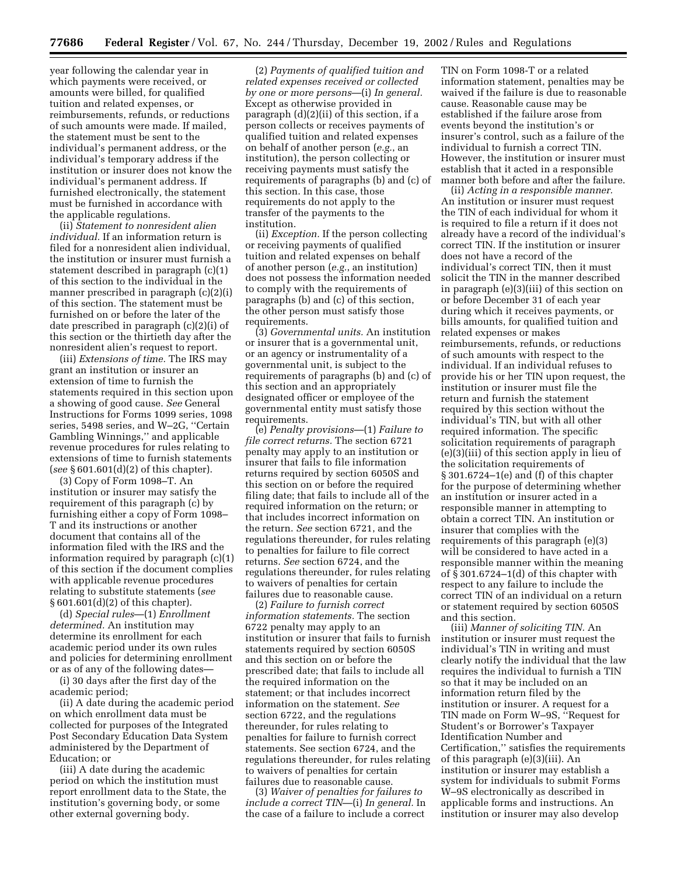year following the calendar year in which payments were received, or amounts were billed, for qualified tuition and related expenses, or reimbursements, refunds, or reductions of such amounts were made. If mailed, the statement must be sent to the individual's permanent address, or the individual's temporary address if the institution or insurer does not know the individual's permanent address. If furnished electronically, the statement must be furnished in accordance with the applicable regulations.

(ii) *Statement to nonresident alien individual.* If an information return is filed for a nonresident alien individual, the institution or insurer must furnish a statement described in paragraph (c)(1) of this section to the individual in the manner prescribed in paragraph (c)(2)(i) of this section. The statement must be furnished on or before the later of the date prescribed in paragraph (c)(2)(i) of this section or the thirtieth day after the nonresident alien's request to report.

(iii) *Extensions of time.* The IRS may grant an institution or insurer an extension of time to furnish the statements required in this section upon a showing of good cause. *See* General Instructions for Forms 1099 series, 1098 series, 5498 series, and W–2G, ''Certain Gambling Winnings,'' and applicable revenue procedures for rules relating to extensions of time to furnish statements (*see* § 601.601(d)(2) of this chapter).

(3) Copy of Form 1098–T. An institution or insurer may satisfy the requirement of this paragraph (c) by furnishing either a copy of Form 1098– T and its instructions or another document that contains all of the information filed with the IRS and the information required by paragraph (c)(1) of this section if the document complies with applicable revenue procedures relating to substitute statements (*see* § 601.601(d)(2) of this chapter).

(d) *Special rules*—(1) *Enrollment determined.* An institution may determine its enrollment for each academic period under its own rules and policies for determining enrollment or as of any of the following dates—

(i) 30 days after the first day of the academic period;

(ii) A date during the academic period on which enrollment data must be collected for purposes of the Integrated Post Secondary Education Data System administered by the Department of Education; or

(iii) A date during the academic period on which the institution must report enrollment data to the State, the institution's governing body, or some other external governing body.

(2) *Payments of qualified tuition and related expenses received or collected by one or more persons*—(i) *In general.* Except as otherwise provided in paragraph (d)(2)(ii) of this section, if a person collects or receives payments of qualified tuition and related expenses on behalf of another person (*e.g.*, an institution), the person collecting or receiving payments must satisfy the requirements of paragraphs (b) and (c) of this section. In this case, those requirements do not apply to the transfer of the payments to the institution.

(ii) *Exception.* If the person collecting or receiving payments of qualified tuition and related expenses on behalf of another person (*e.g.*, an institution) does not possess the information needed to comply with the requirements of paragraphs (b) and (c) of this section, the other person must satisfy those requirements.

(3) *Governmental units.* An institution or insurer that is a governmental unit, or an agency or instrumentality of a governmental unit, is subject to the requirements of paragraphs (b) and (c) of this section and an appropriately designated officer or employee of the governmental entity must satisfy those requirements.

(e) *Penalty provisions*—(1) *Failure to file correct returns.* The section 6721 penalty may apply to an institution or insurer that fails to file information returns required by section 6050S and this section on or before the required filing date; that fails to include all of the required information on the return; or that includes incorrect information on the return. *See* section 6721, and the regulations thereunder, for rules relating to penalties for failure to file correct returns. *See* section 6724, and the regulations thereunder, for rules relating to waivers of penalties for certain failures due to reasonable cause.

(2) *Failure to furnish correct information statements.* The section 6722 penalty may apply to an institution or insurer that fails to furnish statements required by section 6050S and this section on or before the prescribed date; that fails to include all the required information on the statement; or that includes incorrect information on the statement. *See* section 6722, and the regulations thereunder, for rules relating to penalties for failure to furnish correct statements. See section 6724, and the regulations thereunder, for rules relating to waivers of penalties for certain failures due to reasonable cause.

(3) *Waiver of penalties for failures to include a correct TIN*—(i) *In general.* In the case of a failure to include a correct

TIN on Form 1098-T or a related information statement, penalties may be waived if the failure is due to reasonable cause. Reasonable cause may be established if the failure arose from events beyond the institution's or insurer's control, such as a failure of the individual to furnish a correct TIN. However, the institution or insurer must establish that it acted in a responsible manner both before and after the failure.

(ii) *Acting in a responsible manner.* An institution or insurer must request the TIN of each individual for whom it is required to file a return if it does not already have a record of the individual's correct TIN. If the institution or insurer does not have a record of the individual's correct TIN, then it must solicit the TIN in the manner described in paragraph (e)(3)(iii) of this section on or before December 31 of each year during which it receives payments, or bills amounts, for qualified tuition and related expenses or makes reimbursements, refunds, or reductions of such amounts with respect to the individual. If an individual refuses to provide his or her TIN upon request, the institution or insurer must file the return and furnish the statement required by this section without the individual's TIN, but with all other required information. The specific solicitation requirements of paragraph (e)(3)(iii) of this section apply in lieu of the solicitation requirements of § 301.6724–1(e) and (f) of this chapter for the purpose of determining whether an institution or insurer acted in a responsible manner in attempting to obtain a correct TIN. An institution or insurer that complies with the requirements of this paragraph (e)(3) will be considered to have acted in a responsible manner within the meaning of § 301.6724–1(d) of this chapter with respect to any failure to include the correct TIN of an individual on a return or statement required by section 6050S and this section.

(iii) *Manner of soliciting TIN.* An institution or insurer must request the individual's TIN in writing and must clearly notify the individual that the law requires the individual to furnish a TIN so that it may be included on an information return filed by the institution or insurer. A request for a TIN made on Form W–9S, ''Request for Student's or Borrower's Taxpayer Identification Number and Certification,'' satisfies the requirements of this paragraph (e)(3)(iii). An institution or insurer may establish a system for individuals to submit Forms W–9S electronically as described in applicable forms and instructions. An institution or insurer may also develop